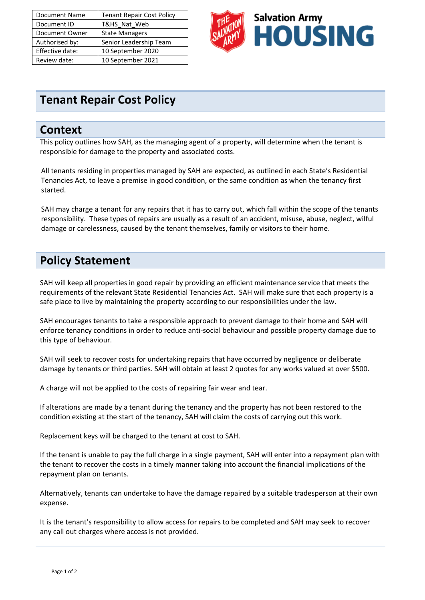| <b>Document Name</b> | <b>Tenant Repair Cost Policy</b> |
|----------------------|----------------------------------|
| Document ID          | T&HS Nat Web                     |
| Document Owner       | <b>State Managers</b>            |
| Authorised by:       | Senior Leadership Team           |
| Effective date:      | 10 September 2020                |
| Review date:         | 10 September 2021                |



# **Tenant Repair Cost Policy**

### **Context**

This policy outlines how SAH, as the managing agent of a property, will determine when the tenant is responsible for damage to the property and associated costs.

All tenants residing in properties managed by SAH are expected, as outlined in each State's Residential Tenancies Act, to leave a premise in good condition, or the same condition as when the tenancy first started.

SAH may charge a tenant for any repairs that it has to carry out, which fall within the scope of the tenants responsibility. These types of repairs are usually as a result of an accident, misuse, abuse, neglect, wilful damage or carelessness, caused by the tenant themselves, family or visitors to their home.

# **Policy Statement**

SAH will keep all properties in good repair by providing an efficient maintenance service that meets the requirements of the relevant State Residential Tenancies Act. SAH will make sure that each property is a safe place to live by maintaining the property according to our responsibilities under the law.

SAH encourages tenants to take a responsible approach to prevent damage to their home and SAH will enforce tenancy conditions in order to reduce anti-social behaviour and possible property damage due to this type of behaviour.

SAH will seek to recover costs for undertaking repairs that have occurred by negligence or deliberate damage by tenants or third parties. SAH will obtain at least 2 quotes for any works valued at over \$500.

A charge will not be applied to the costs of repairing fair wear and tear.

If alterations are made by a tenant during the tenancy and the property has not been restored to the condition existing at the start of the tenancy, SAH will claim the costs of carrying out this work.

Replacement keys will be charged to the tenant at cost to SAH.

If the tenant is unable to pay the full charge in a single payment, SAH will enter into a repayment plan with the tenant to recover the costs in a timely manner taking into account the financial implications of the repayment plan on tenants.

Alternatively, tenants can undertake to have the damage repaired by a suitable tradesperson at their own expense.

It is the tenant's responsibility to allow access for repairs to be completed and SAH may seek to recover any call out charges where access is not provided.